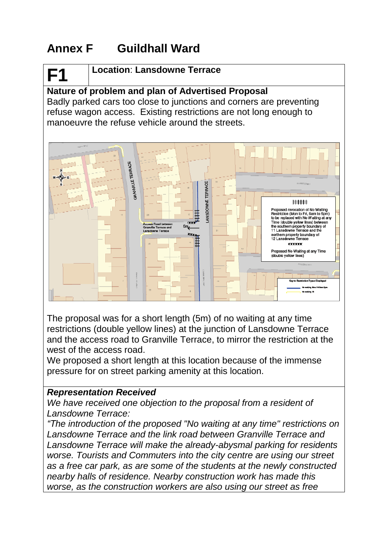# **Annex F Guildhall Ward**

# **F1**

#### **Location**: **Lansdowne Terrace**

# **Nature of problem and plan of Advertised Proposal**

Badly parked cars too close to junctions and corners are preventing refuse wagon access. Existing restrictions are not long enough to manoeuvre the refuse vehicle around the streets.



The proposal was for a short length (5m) of no waiting at any time restrictions (double yellow lines) at the junction of Lansdowne Terrace and the access road to Granville Terrace, to mirror the restriction at the west of the access road.

We proposed a short length at this location because of the immense pressure for on street parking amenity at this location.

#### *Representation Received*

*We have received one objection to the proposal from a resident of Lansdowne Terrace:*

*"The introduction of the proposed "No waiting at any time" restrictions on Lansdowne Terrace and the link road between Granville Terrace and Lansdowne Terrace will make the already-abysmal parking for residents worse. Tourists and Commuters into the city centre are using our street as a free car park, as are some of the students at the newly constructed nearby halls of residence. Nearby construction work has made this worse, as the construction workers are also using our street as free*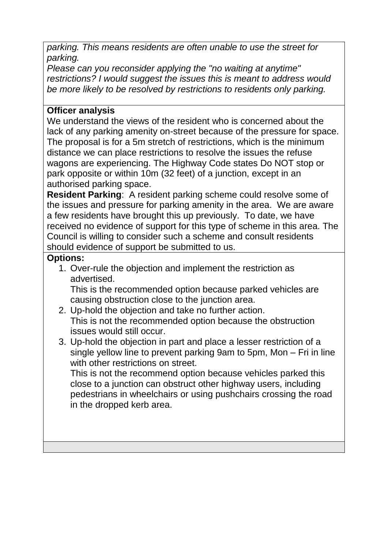*parking. This means residents are often unable to use the street for parking.*

*Please can you reconsider applying the "no waiting at anytime" restrictions? I would suggest the issues this is meant to address would be more likely to be resolved by restrictions to residents only parking.*

## **Officer analysis**

We understand the views of the resident who is concerned about the lack of any parking amenity on-street because of the pressure for space. The proposal is for a 5m stretch of restrictions, which is the minimum distance we can place restrictions to resolve the issues the refuse wagons are experiencing. The Highway Code states Do NOT stop or park opposite or within 10m (32 feet) of a junction, except in an authorised parking space.

**Resident Parking**: A resident parking scheme could resolve some of the issues and pressure for parking amenity in the area. We are aware a few residents have brought this up previously. To date, we have received no evidence of support for this type of scheme in this area. The Council is willing to consider such a scheme and consult residents should evidence of support be submitted to us.

#### **Options:**

1. Over-rule the objection and implement the restriction as advertised.

This is the recommended option because parked vehicles are causing obstruction close to the junction area.

- 2. Up-hold the objection and take no further action. This is not the recommended option because the obstruction issues would still occur.
- 3. Up-hold the objection in part and place a lesser restriction of a single yellow line to prevent parking 9am to 5pm, Mon – Fri in line with other restrictions on street.

This is not the recommend option because vehicles parked this close to a junction can obstruct other highway users, including pedestrians in wheelchairs or using pushchairs crossing the road in the dropped kerb area.